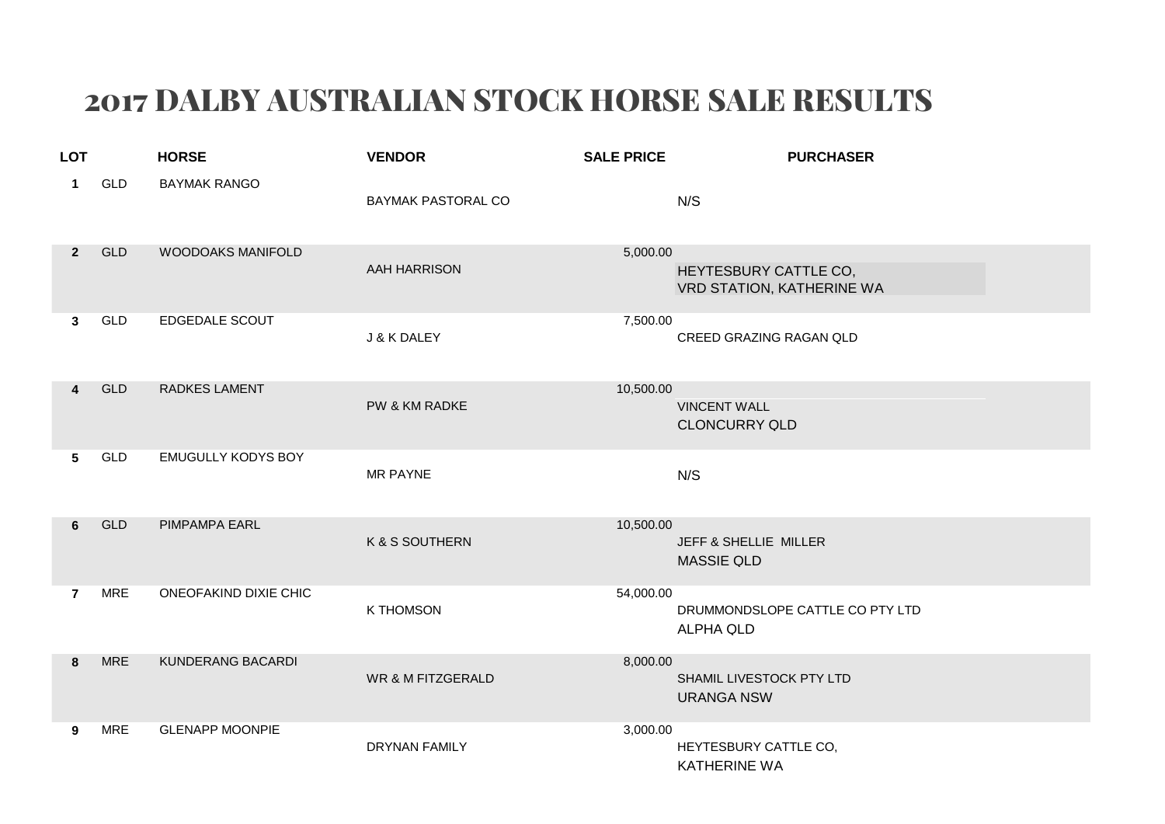## 2017 DALBY AUSTRALIAN STOCK HORSE SALE RESULTS

| <b>LOT</b>              |            | <b>HORSE</b>              | <b>VENDOR</b>                | <b>SALE PRICE</b> | <b>PURCHASER</b>                                    |
|-------------------------|------------|---------------------------|------------------------------|-------------------|-----------------------------------------------------|
| 1                       | <b>GLD</b> | <b>BAYMAK RANGO</b>       | BAYMAK PASTORAL CO           |                   | N/S                                                 |
| $\overline{2}$          | <b>GLD</b> | WOODOAKS MANIFOLD         | <b>AAH HARRISON</b>          | 5,000.00          | HEYTESBURY CATTLE CO,<br>VRD STATION, KATHERINE WA  |
| 3                       | GLD        | EDGEDALE SCOUT            | J & K DALEY                  | 7,500.00          | CREED GRAZING RAGAN QLD                             |
| $\overline{\mathbf{4}}$ | GLD        | <b>RADKES LAMENT</b>      | PW & KM RADKE                | 10,500.00         | <b>VINCENT WALL</b><br><b>CLONCURRY QLD</b>         |
| 5                       | GLD        | <b>EMUGULLY KODYS BOY</b> | <b>MR PAYNE</b>              |                   | N/S                                                 |
| 6                       | <b>GLD</b> | PIMPAMPA EARL             | K & S SOUTHERN               | 10,500.00         | JEFF & SHELLIE MILLER<br><b>MASSIE QLD</b>          |
| $\overline{7}$          | <b>MRE</b> | ONEOFAKIND DIXIE CHIC     | <b>K THOMSON</b>             | 54,000.00         | DRUMMONDSLOPE CATTLE CO PTY LTD<br><b>ALPHA QLD</b> |
| 8                       | <b>MRE</b> | KUNDERANG BACARDI         | <b>WR &amp; M FITZGERALD</b> | 8,000.00          | SHAMIL LIVESTOCK PTY LTD<br><b>URANGA NSW</b>       |
| 9                       | <b>MRE</b> | <b>GLENAPP MOONPIE</b>    | <b>DRYNAN FAMILY</b>         | 3,000.00          | HEYTESBURY CATTLE CO,<br><b>KATHERINE WA</b>        |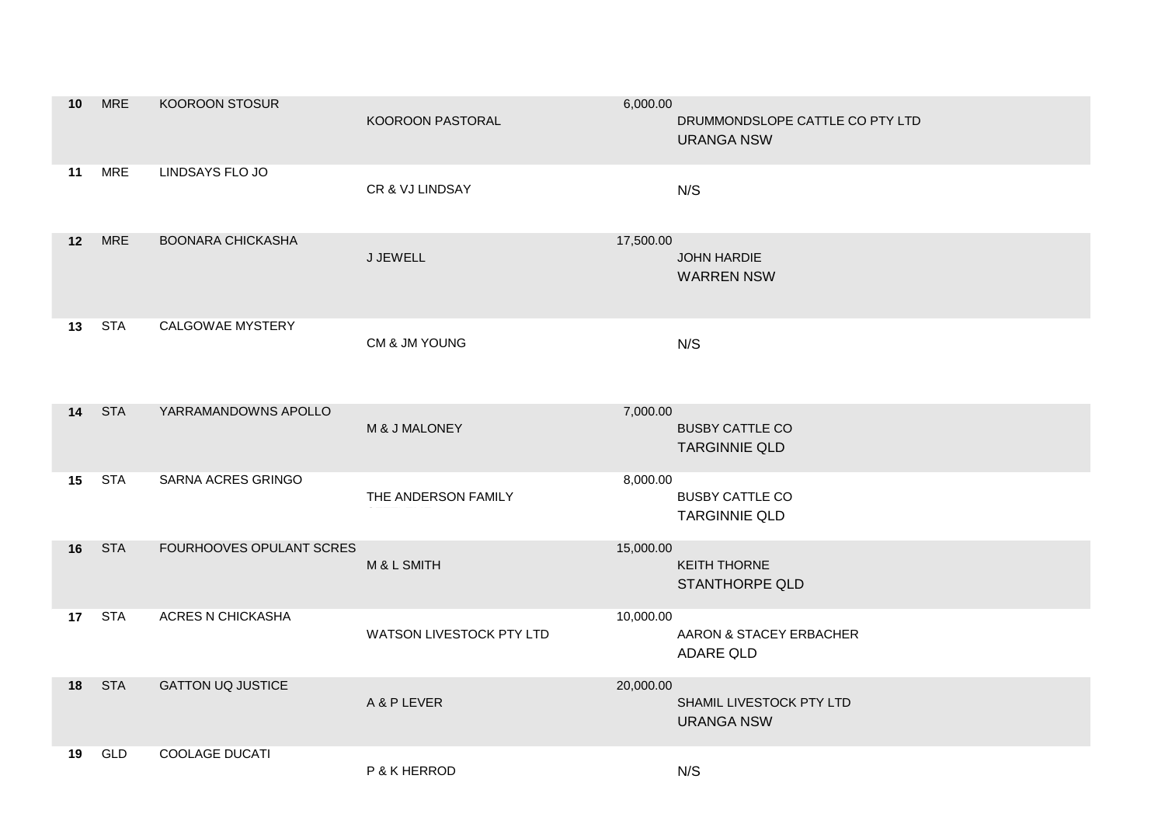| 10              | <b>MRE</b>    | KOOROON STOSUR           | KOOROON PASTORAL         | 6,000.00<br>DRUMMONDSLOPE CATTLE CO PTY LTD<br><b>URANGA NSW</b> |
|-----------------|---------------|--------------------------|--------------------------|------------------------------------------------------------------|
| 11              | <b>MRE</b>    | LINDSAYS FLO JO          | CR & VJ LINDSAY          | N/S                                                              |
| 12 <sup>7</sup> | <b>MRE</b>    | <b>BOONARA CHICKASHA</b> | J JEWELL                 | 17,500.00<br>JOHN HARDIE<br><b>WARREN NSW</b>                    |
|                 | <b>13</b> STA | CALGOWAE MYSTERY         | CM & JM YOUNG            | N/S                                                              |
| 14              | <b>STA</b>    | YARRAMANDOWNS APOLLO     | M & J MALONEY            | 7,000.00<br><b>BUSBY CATTLE CO</b><br><b>TARGINNIE QLD</b>       |
| 15              | <b>STA</b>    | SARNA ACRES GRINGO       | THE ANDERSON FAMILY      | 8,000.00<br><b>BUSBY CATTLE CO</b><br><b>TARGINNIE QLD</b>       |
|                 | <b>16 STA</b> | FOURHOOVES OPULANT SCRES | M & L SMITH              | 15,000.00<br><b>KEITH THORNE</b><br><b>STANTHORPE QLD</b>        |
|                 | 17 STA        | ACRES N CHICKASHA        | WATSON LIVESTOCK PTY LTD | 10,000.00<br>AARON & STACEY ERBACHER<br>ADARE QLD                |
|                 | <b>18</b> STA | <b>GATTON UQ JUSTICE</b> | A & P LEVER              | 20,000.00<br>SHAMIL LIVESTOCK PTY LTD<br><b>URANGA NSW</b>       |
| 19              | <b>GLD</b>    | <b>COOLAGE DUCATI</b>    | P & K HERROD             | N/S                                                              |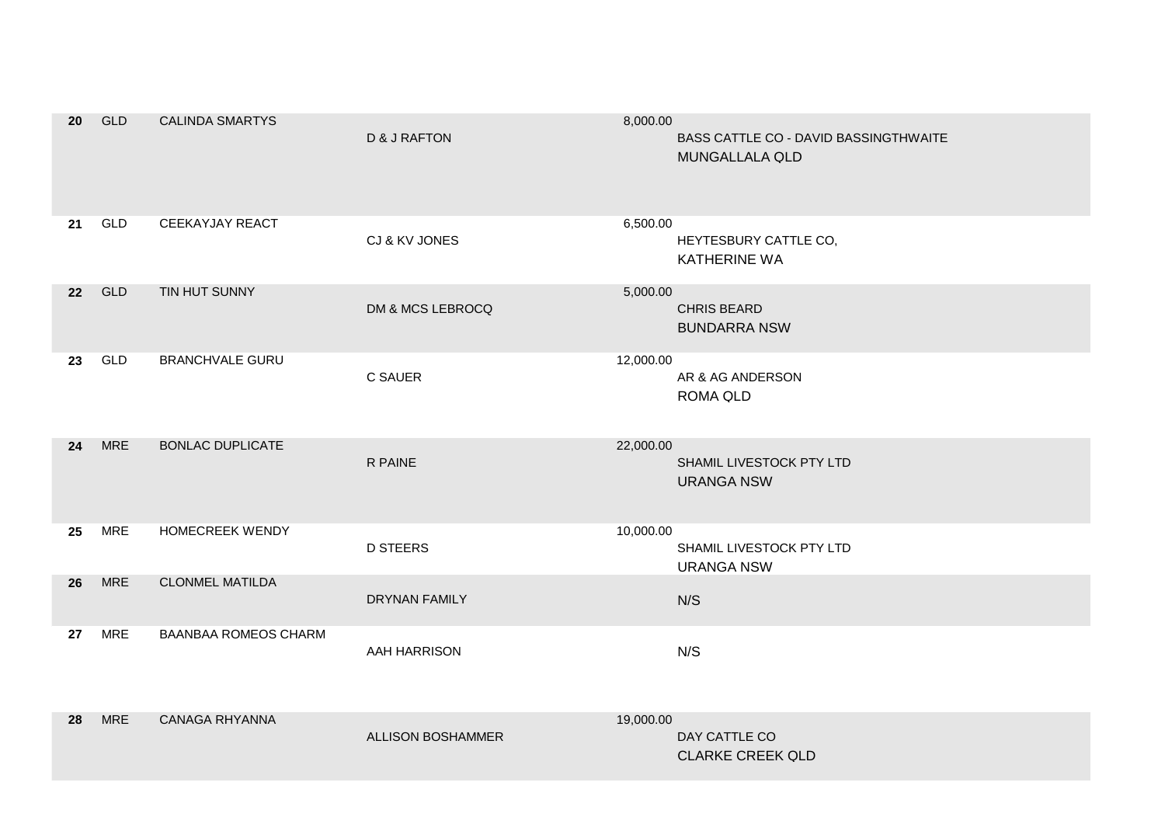| 20 | <b>GLD</b> | <b>CALINDA SMARTYS</b>      | <b>D &amp; J RAFTON</b>  | 8,000.00  | BASS CATTLE CO - DAVID BASSINGTHWAITE<br><b>MUNGALLALA QLD</b> |
|----|------------|-----------------------------|--------------------------|-----------|----------------------------------------------------------------|
| 21 | GLD        | <b>CEEKAYJAY REACT</b>      | CJ & KV JONES            | 6,500.00  | HEYTESBURY CATTLE CO,<br>KATHERINE WA                          |
| 22 | <b>GLD</b> | TIN HUT SUNNY               | DM & MCS LEBROCQ         | 5,000.00  | <b>CHRIS BEARD</b><br><b>BUNDARRA NSW</b>                      |
| 23 | GLD        | <b>BRANCHVALE GURU</b>      | C SAUER                  | 12,000.00 | AR & AG ANDERSON<br>ROMA QLD                                   |
| 24 | <b>MRE</b> | <b>BONLAC DUPLICATE</b>     | R PAINE                  | 22,000.00 | SHAMIL LIVESTOCK PTY LTD<br><b>URANGA NSW</b>                  |
| 25 | <b>MRE</b> | <b>HOMECREEK WENDY</b>      | <b>D STEERS</b>          | 10,000.00 | SHAMIL LIVESTOCK PTY LTD<br><b>URANGA NSW</b>                  |
| 26 | <b>MRE</b> | <b>CLONMEL MATILDA</b>      | <b>DRYNAN FAMILY</b>     |           | N/S                                                            |
| 27 | <b>MRE</b> | <b>BAANBAA ROMEOS CHARM</b> | AAH HARRISON             |           | N/S                                                            |
| 28 | <b>MRE</b> | <b>CANAGA RHYANNA</b>       | <b>ALLISON BOSHAMMER</b> | 19,000.00 | DAY CATTLE CO<br><b>CLARKE CREEK QLD</b>                       |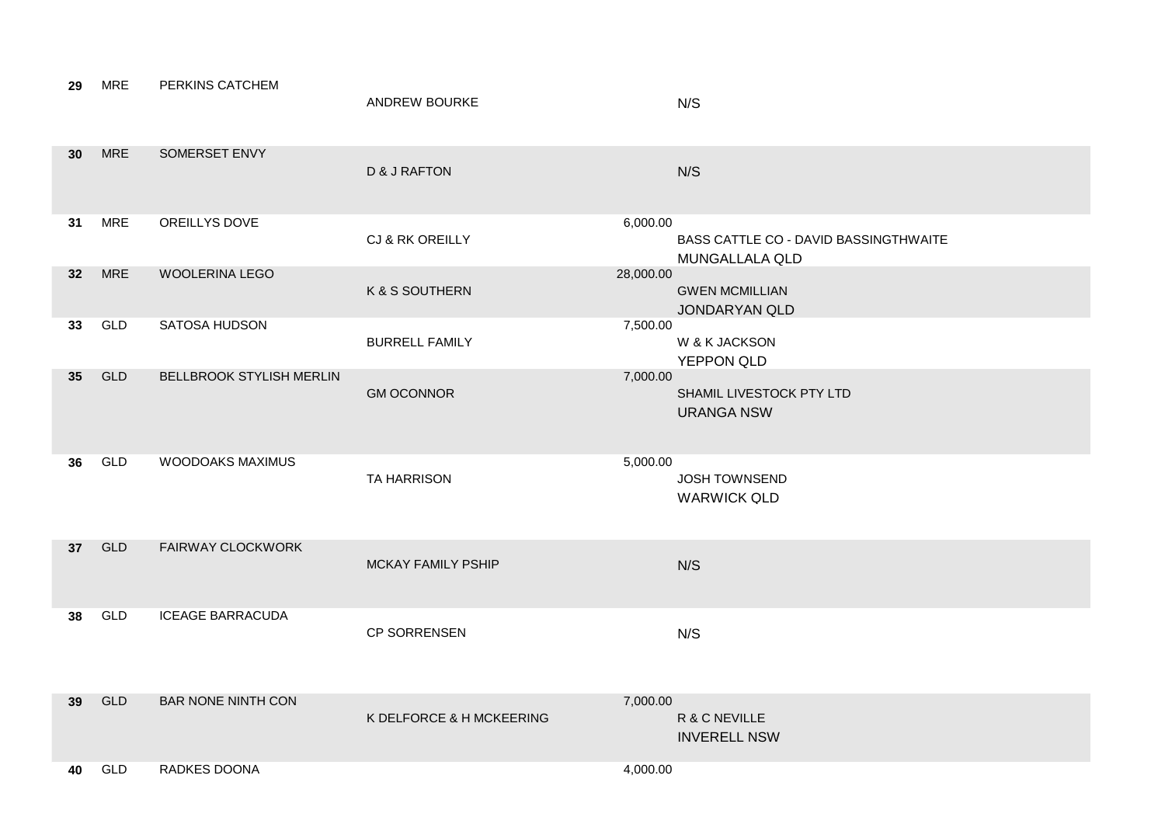| 29              | <b>MRE</b> | PERKINS CATCHEM           | <b>ANDREW BOURKE</b>     | N/S                                                                        |
|-----------------|------------|---------------------------|--------------------------|----------------------------------------------------------------------------|
| 30              | <b>MRE</b> | SOMERSET ENVY             | <b>D &amp; J RAFTON</b>  | N/S                                                                        |
| 31              | <b>MRE</b> | OREILLYS DOVE             | CJ & RK OREILLY          | 6,000.00<br>BASS CATTLE CO - DAVID BASSINGTHWAITE<br><b>MUNGALLALA QLD</b> |
| 32 <sub>2</sub> | <b>MRE</b> | WOOLERINA LEGO            | K & S SOUTHERN           | 28,000.00<br><b>GWEN MCMILLIAN</b><br>JONDARYAN QLD                        |
| 33              | GLD        | SATOSA HUDSON             | <b>BURRELL FAMILY</b>    | 7,500.00<br>W & K JACKSON<br>YEPPON QLD                                    |
| 35 <sub>5</sub> | GLD        | BELLBROOK STYLISH MERLIN  | <b>GM OCONNOR</b>        | 7,000.00<br>SHAMIL LIVESTOCK PTY LTD<br><b>URANGA NSW</b>                  |
| 36              | GLD        | WOODOAKS MAXIMUS          | <b>TA HARRISON</b>       | 5,000.00<br><b>JOSH TOWNSEND</b><br><b>WARWICK QLD</b>                     |
| 37 <sup>2</sup> | <b>GLD</b> | <b>FAIRWAY CLOCKWORK</b>  | MCKAY FAMILY PSHIP       | N/S                                                                        |
| 38              | GLD        | <b>ICEAGE BARRACUDA</b>   | CP SORRENSEN             | N/S                                                                        |
| 39              | <b>GLD</b> | <b>BAR NONE NINTH CON</b> | K DELFORCE & H MCKEERING | 7,000.00<br>R & C NEVILLE<br><b>INVERELL NSW</b>                           |
| 40              | GLD        | RADKES DOONA              |                          | 4,000.00                                                                   |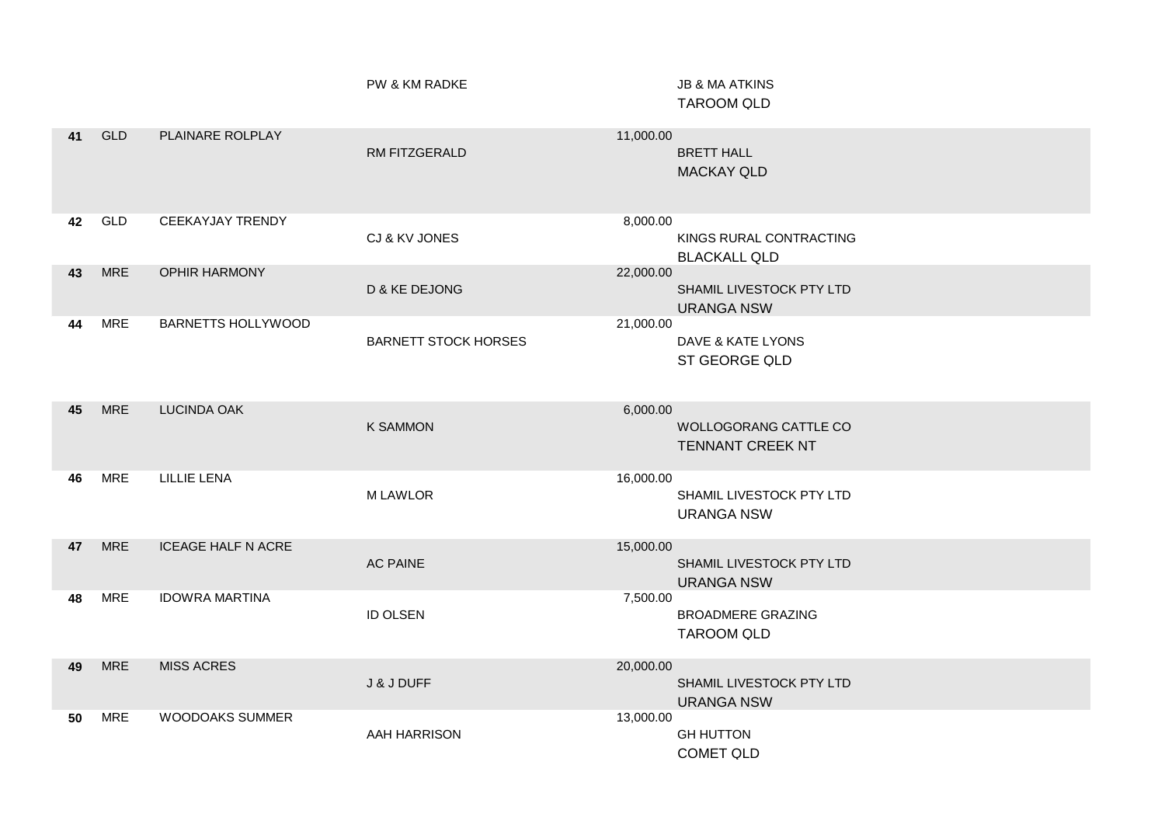TAROOM QLD PW & KM RADKE **In the set of the STATE SET AT A STATE I** JB & MA ATKINS

| 41 | <b>GLD</b> | PLAINARE ROLPLAY          | RM FITZGERALD               | 11,000.00 | <b>BRETT HALL</b><br><b>MACKAY QLD</b>                  |
|----|------------|---------------------------|-----------------------------|-----------|---------------------------------------------------------|
| 42 | GLD        | CEEKAYJAY TRENDY          | CJ & KV JONES               | 8,000.00  | KINGS RURAL CONTRACTING<br><b>BLACKALL QLD</b>          |
| 43 | <b>MRE</b> | <b>OPHIR HARMONY</b>      | D & KE DEJONG               | 22,000.00 | SHAMIL LIVESTOCK PTY LTD<br><b>URANGA NSW</b>           |
| 44 | <b>MRE</b> | <b>BARNETTS HOLLYWOOD</b> | <b>BARNETT STOCK HORSES</b> | 21,000.00 | DAVE & KATE LYONS<br>ST GEORGE QLD                      |
| 45 | <b>MRE</b> | <b>LUCINDA OAK</b>        | <b>K SAMMON</b>             | 6,000.00  | <b>WOLLOGORANG CATTLE CO</b><br><b>TENNANT CREEK NT</b> |
| 46 | <b>MRE</b> | <b>LILLIE LENA</b>        | <b>MLAWLOR</b>              | 16,000.00 | SHAMIL LIVESTOCK PTY LTD<br><b>URANGA NSW</b>           |
| 47 | <b>MRE</b> | <b>ICEAGE HALF N ACRE</b> | <b>AC PAINE</b>             | 15,000.00 | SHAMIL LIVESTOCK PTY LTD<br><b>URANGA NSW</b>           |
| 48 | <b>MRE</b> | <b>IDOWRA MARTINA</b>     | <b>ID OLSEN</b>             | 7,500.00  | <b>BROADMERE GRAZING</b><br><b>TAROOM QLD</b>           |
| 49 | <b>MRE</b> | <b>MISS ACRES</b>         | J & J DUFF                  | 20,000.00 | SHAMIL LIVESTOCK PTY LTD<br><b>URANGA NSW</b>           |
| 50 | <b>MRE</b> | <b>WOODOAKS SUMMER</b>    | <b>AAH HARRISON</b>         | 13,000.00 | <b>GH HUTTON</b><br><b>COMET QLD</b>                    |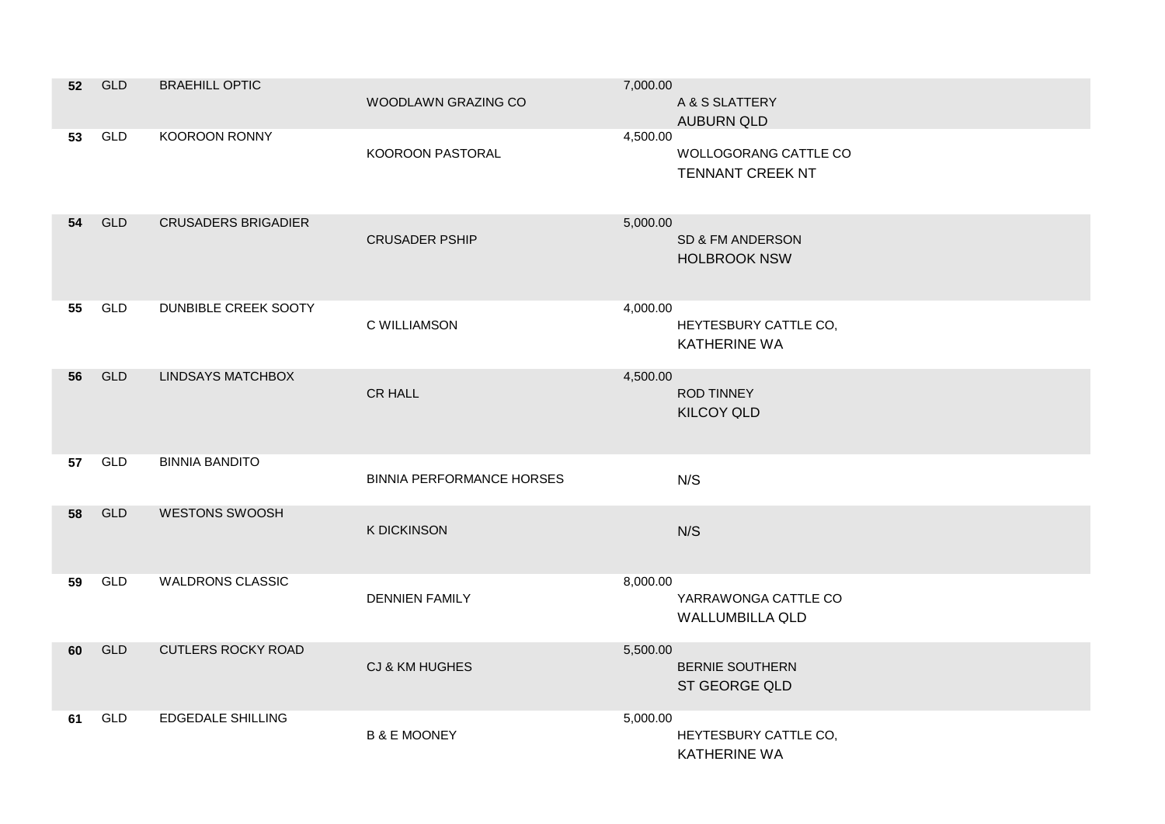| 52 | GLD        | <b>BRAEHILL OPTIC</b>      | WOODLAWN GRAZING CO              | 7,000.00 | A & S SLATTERY<br><b>AUBURN QLD</b>              |
|----|------------|----------------------------|----------------------------------|----------|--------------------------------------------------|
| 53 | GLD        | KOOROON RONNY              | KOOROON PASTORAL                 | 4,500.00 | WOLLOGORANG CATTLE CO<br><b>TENNANT CREEK NT</b> |
| 54 | <b>GLD</b> | <b>CRUSADERS BRIGADIER</b> | <b>CRUSADER PSHIP</b>            | 5,000.00 | SD & FM ANDERSON<br><b>HOLBROOK NSW</b>          |
| 55 | GLD        | DUNBIBLE CREEK SOOTY       | C WILLIAMSON                     | 4,000.00 | HEYTESBURY CATTLE CO,<br><b>KATHERINE WA</b>     |
| 56 | <b>GLD</b> | <b>LINDSAYS MATCHBOX</b>   | <b>CR HALL</b>                   | 4,500.00 | <b>ROD TINNEY</b><br><b>KILCOY QLD</b>           |
| 57 | GLD        | <b>BINNIA BANDITO</b>      | <b>BINNIA PERFORMANCE HORSES</b> |          | N/S                                              |
| 58 | <b>GLD</b> | <b>WESTONS SWOOSH</b>      | <b>K DICKINSON</b>               |          | N/S                                              |
| 59 | GLD        | <b>WALDRONS CLASSIC</b>    | <b>DENNIEN FAMILY</b>            | 8,000.00 | YARRAWONGA CATTLE CO<br><b>WALLUMBILLA QLD</b>   |
| 60 | <b>GLD</b> | <b>CUTLERS ROCKY ROAD</b>  | CJ & KM HUGHES                   | 5,500.00 | <b>BERNIE SOUTHERN</b><br>ST GEORGE QLD          |
| 61 | <b>GLD</b> | <b>EDGEDALE SHILLING</b>   | <b>B &amp; E MOONEY</b>          | 5,000.00 | HEYTESBURY CATTLE CO,<br><b>KATHERINE WA</b>     |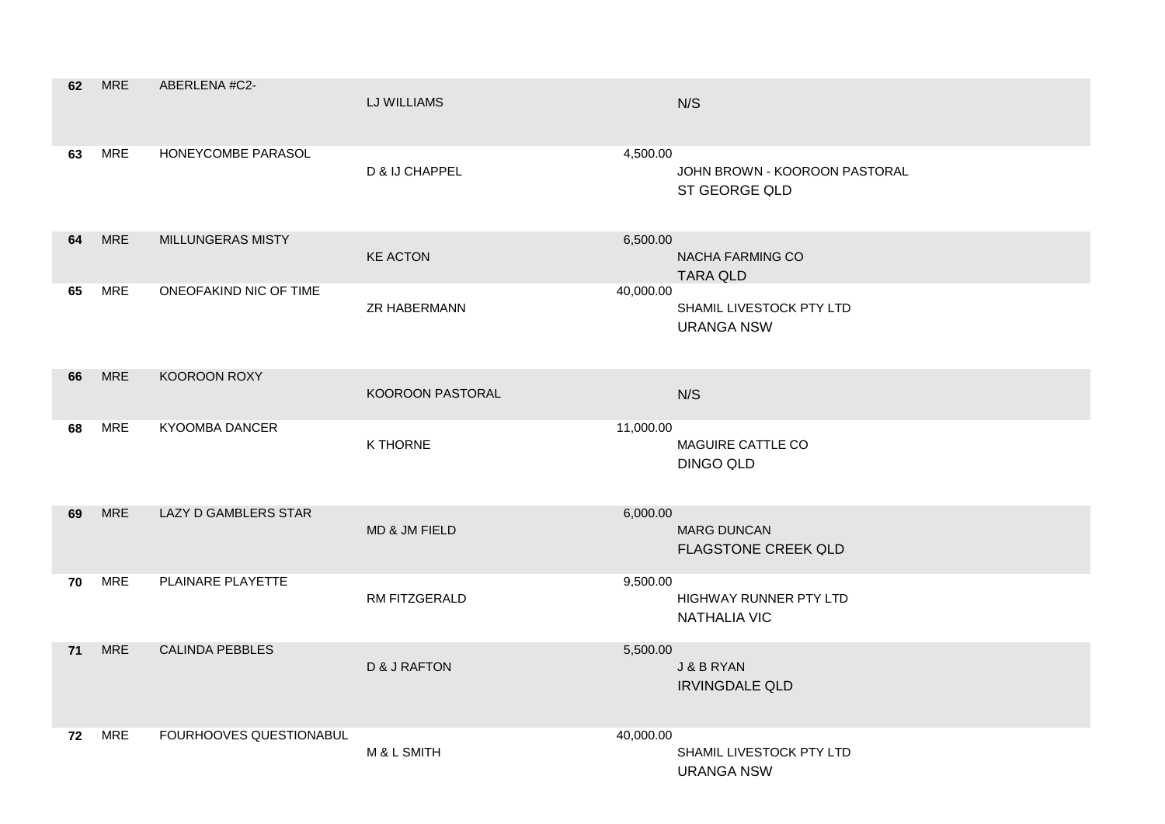| 62 | <b>MRE</b> | ABERLENA #C2-               | LJ WILLIAMS             |           | N/S                                              |
|----|------------|-----------------------------|-------------------------|-----------|--------------------------------------------------|
| 63 | <b>MRE</b> | HONEYCOMBE PARASOL          | D & IJ CHAPPEL          | 4,500.00  | JOHN BROWN - KOOROON PASTORAL<br>ST GEORGE QLD   |
| 64 | <b>MRE</b> | MILLUNGERAS MISTY           | <b>KE ACTON</b>         | 6,500.00  | NACHA FARMING CO<br><b>TARA QLD</b>              |
| 65 | <b>MRE</b> | ONEOFAKIND NIC OF TIME      | <b>ZR HABERMANN</b>     | 40,000.00 | SHAMIL LIVESTOCK PTY LTD<br><b>URANGA NSW</b>    |
| 66 | <b>MRE</b> | KOOROON ROXY                | <b>KOOROON PASTORAL</b> |           | N/S                                              |
| 68 | <b>MRE</b> | <b>KYOOMBA DANCER</b>       | <b>K THORNE</b>         | 11,000.00 | MAGUIRE CATTLE CO<br><b>DINGO QLD</b>            |
| 69 | <b>MRE</b> | <b>LAZY D GAMBLERS STAR</b> | MD & JM FIELD           | 6,000.00  | <b>MARG DUNCAN</b><br><b>FLAGSTONE CREEK QLD</b> |
| 70 | <b>MRE</b> | PLAINARE PLAYETTE           | <b>RM FITZGERALD</b>    | 9,500.00  | HIGHWAY RUNNER PTY LTD<br><b>NATHALIA VIC</b>    |
| 71 | <b>MRE</b> | <b>CALINDA PEBBLES</b>      | D & J RAFTON            | 5,500.00  | J & B RYAN<br><b>IRVINGDALE QLD</b>              |
| 72 | <b>MRE</b> | FOURHOOVES QUESTIONABUL     | M & L SMITH             | 40,000.00 | SHAMIL LIVESTOCK PTY LTD<br><b>URANGA NSW</b>    |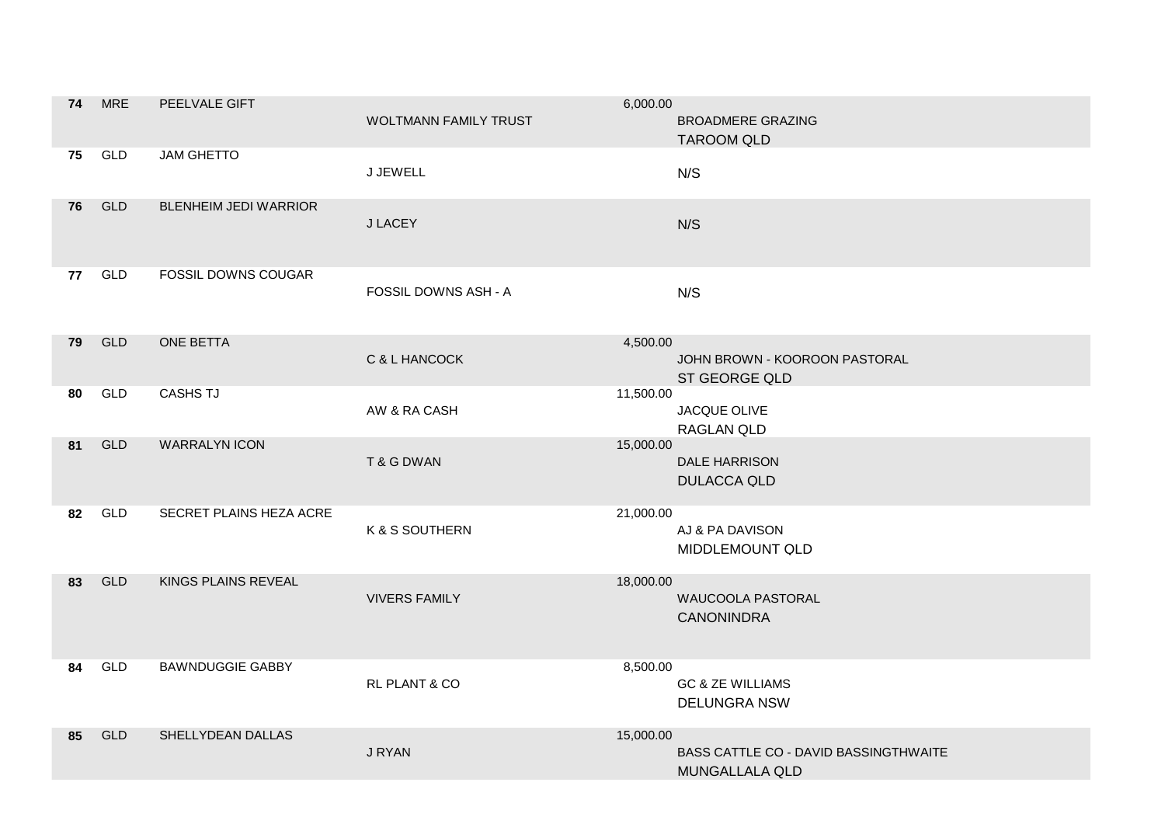| 74 | <b>MRE</b> | PEELVALE GIFT                | <b>WOLTMANN FAMILY TRUST</b> | 6,000.00  | <b>BROADMERE GRAZING</b><br><b>TAROOM QLD</b>           |
|----|------------|------------------------------|------------------------------|-----------|---------------------------------------------------------|
| 75 | GLD        | <b>JAM GHETTO</b>            | J JEWELL                     |           | N/S                                                     |
| 76 | <b>GLD</b> | <b>BLENHEIM JEDI WARRIOR</b> | J LACEY                      |           | N/S                                                     |
| 77 | GLD        | FOSSIL DOWNS COUGAR          | FOSSIL DOWNS ASH - A         |           | N/S                                                     |
| 79 | <b>GLD</b> | ONE BETTA                    | C & L HANCOCK                | 4,500.00  | JOHN BROWN - KOOROON PASTORAL<br>ST GEORGE QLD          |
| 80 | GLD        | <b>CASHS TJ</b>              | AW & RA CASH                 | 11,500.00 | JACQUE OLIVE<br>RAGLAN QLD                              |
| 81 | <b>GLD</b> | <b>WARRALYN ICON</b>         | T & G DWAN                   | 15,000.00 | <b>DALE HARRISON</b><br><b>DULACCA QLD</b>              |
| 82 | GLD        | SECRET PLAINS HEZA ACRE      | K & S SOUTHERN               | 21,000.00 | AJ & PA DAVISON<br>MIDDLEMOUNT QLD                      |
| 83 | <b>GLD</b> | KINGS PLAINS REVEAL          | <b>VIVERS FAMILY</b>         | 18,000.00 | WAUCOOLA PASTORAL<br><b>CANONINDRA</b>                  |
| 84 | GLD        | <b>BAWNDUGGIE GABBY</b>      | RL PLANT & CO                | 8,500.00  | <b>GC &amp; ZE WILLIAMS</b><br><b>DELUNGRA NSW</b>      |
| 85 | <b>GLD</b> | SHELLYDEAN DALLAS            | J RYAN                       | 15,000.00 | BASS CATTLE CO - DAVID BASSINGTHWAITE<br>MUNGALLALA QLD |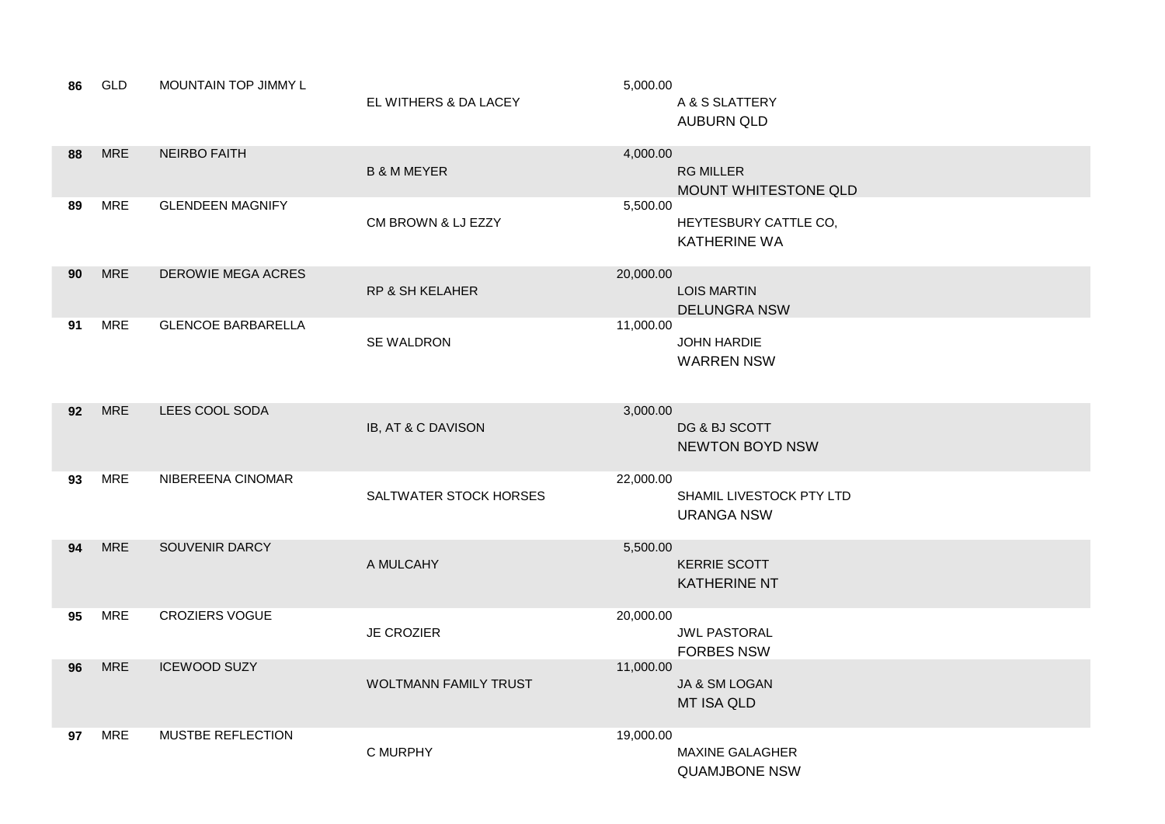| 86 | GLD        | MOUNTAIN TOP JIMMY L      | EL WITHERS & DA LACEY        | 5,000.00  | A & S SLATTERY<br><b>AUBURN QLD</b>            |
|----|------------|---------------------------|------------------------------|-----------|------------------------------------------------|
| 88 | <b>MRE</b> | <b>NEIRBO FAITH</b>       | <b>B &amp; M MEYER</b>       | 4,000.00  | <b>RG MILLER</b><br>MOUNT WHITESTONE QLD       |
| 89 | <b>MRE</b> | <b>GLENDEEN MAGNIFY</b>   | CM BROWN & LJ EZZY           | 5,500.00  | HEYTESBURY CATTLE CO,<br><b>KATHERINE WA</b>   |
| 90 | <b>MRE</b> | <b>DEROWIE MEGA ACRES</b> | <b>RP &amp; SH KELAHER</b>   | 20,000.00 | <b>LOIS MARTIN</b><br><b>DELUNGRA NSW</b>      |
| 91 | <b>MRE</b> | <b>GLENCOE BARBARELLA</b> | SE WALDRON                   | 11,000.00 | JOHN HARDIE<br><b>WARREN NSW</b>               |
| 92 | <b>MRE</b> | LEES COOL SODA            | IB, AT & C DAVISON           | 3,000.00  | DG & BJ SCOTT<br><b>NEWTON BOYD NSW</b>        |
| 93 | <b>MRE</b> | NIBEREENA CINOMAR         | SALTWATER STOCK HORSES       | 22,000.00 | SHAMIL LIVESTOCK PTY LTD<br><b>URANGA NSW</b>  |
| 94 | <b>MRE</b> | SOUVENIR DARCY            | A MULCAHY                    | 5,500.00  | <b>KERRIE SCOTT</b><br><b>KATHERINE NT</b>     |
| 95 | <b>MRE</b> | <b>CROZIERS VOGUE</b>     | <b>JE CROZIER</b>            | 20,000.00 | <b>JWL PASTORAL</b><br><b>FORBES NSW</b>       |
| 96 | <b>MRE</b> | <b>ICEWOOD SUZY</b>       | <b>WOLTMANN FAMILY TRUST</b> | 11,000.00 | JA & SM LOGAN<br><b>MT ISA QLD</b>             |
| 97 | MRE        | <b>MUSTBE REFLECTION</b>  | C MURPHY                     | 19,000.00 | <b>MAXINE GALAGHER</b><br><b>QUAMJBONE NSW</b> |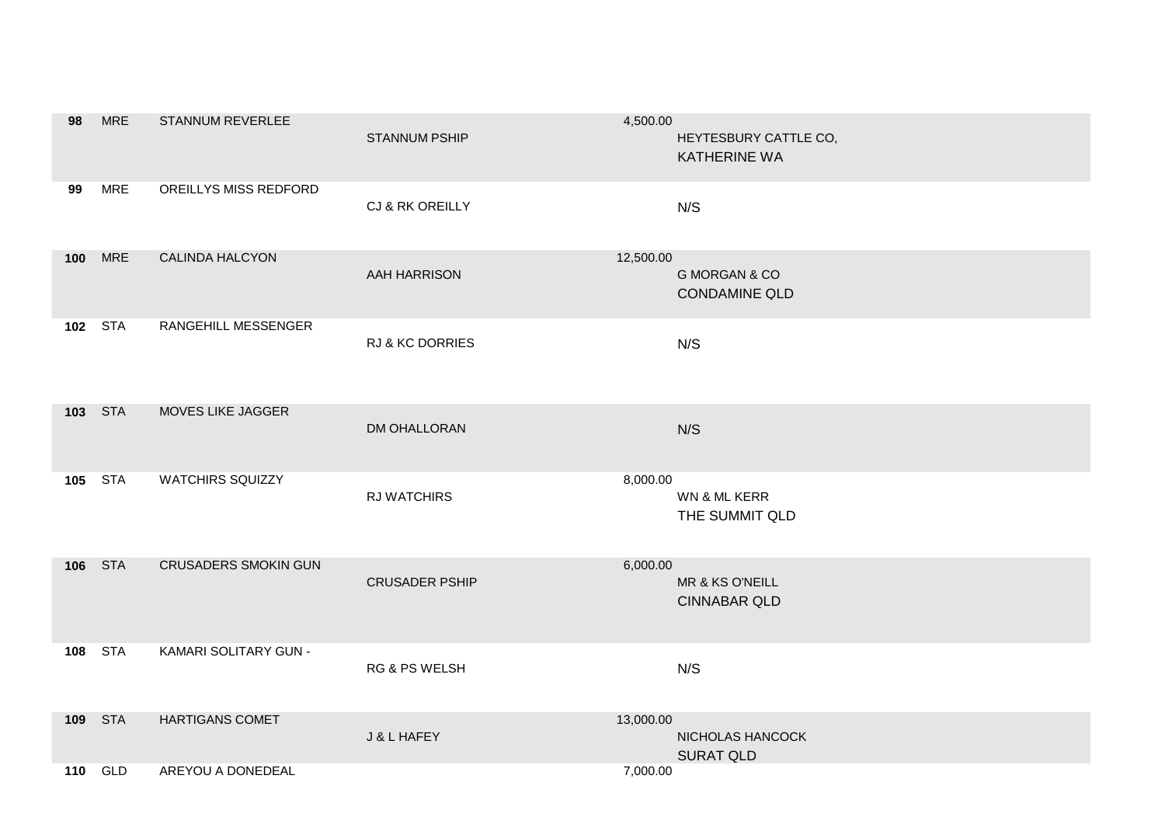| 98               | <b>MRE</b>     | STANNUM REVERLEE            | <b>STANNUM PSHIP</b>     | 4,500.00<br>HEYTESBURY CATTLE CO,<br><b>KATHERINE WA</b>      |
|------------------|----------------|-----------------------------|--------------------------|---------------------------------------------------------------|
| 99               | <b>MRE</b>     | OREILLYS MISS REDFORD       | CJ & RK OREILLY          | N/S                                                           |
| 100 <sub>1</sub> | <b>MRE</b>     | <b>CALINDA HALCYON</b>      | AAH HARRISON             | 12,500.00<br><b>G MORGAN &amp; CO</b><br><b>CONDAMINE QLD</b> |
|                  | 102 STA        | RANGEHILL MESSENGER         | RJ & KC DORRIES          | N/S                                                           |
|                  | 103 STA        | MOVES LIKE JAGGER           | DM OHALLORAN             | N/S                                                           |
| 105              | <b>STA</b>     | <b>WATCHIRS SQUIZZY</b>     | RJ WATCHIRS              | 8,000.00<br>WN & ML KERR<br>THE SUMMIT QLD                    |
| 106              | <b>STA</b>     | <b>CRUSADERS SMOKIN GUN</b> | <b>CRUSADER PSHIP</b>    | 6,000.00<br>MR & KS O'NEILL<br><b>CINNABAR QLD</b>            |
| 108              | <b>STA</b>     | KAMARI SOLITARY GUN -       | <b>RG &amp; PS WELSH</b> | N/S                                                           |
|                  | 109 STA        | <b>HARTIGANS COMET</b>      | J & L HAFEY              | 13,000.00<br>NICHOLAS HANCOCK<br><b>SURAT QLD</b>             |
|                  | <b>110 GLD</b> | AREYOU A DONEDEAL           |                          | 7,000.00                                                      |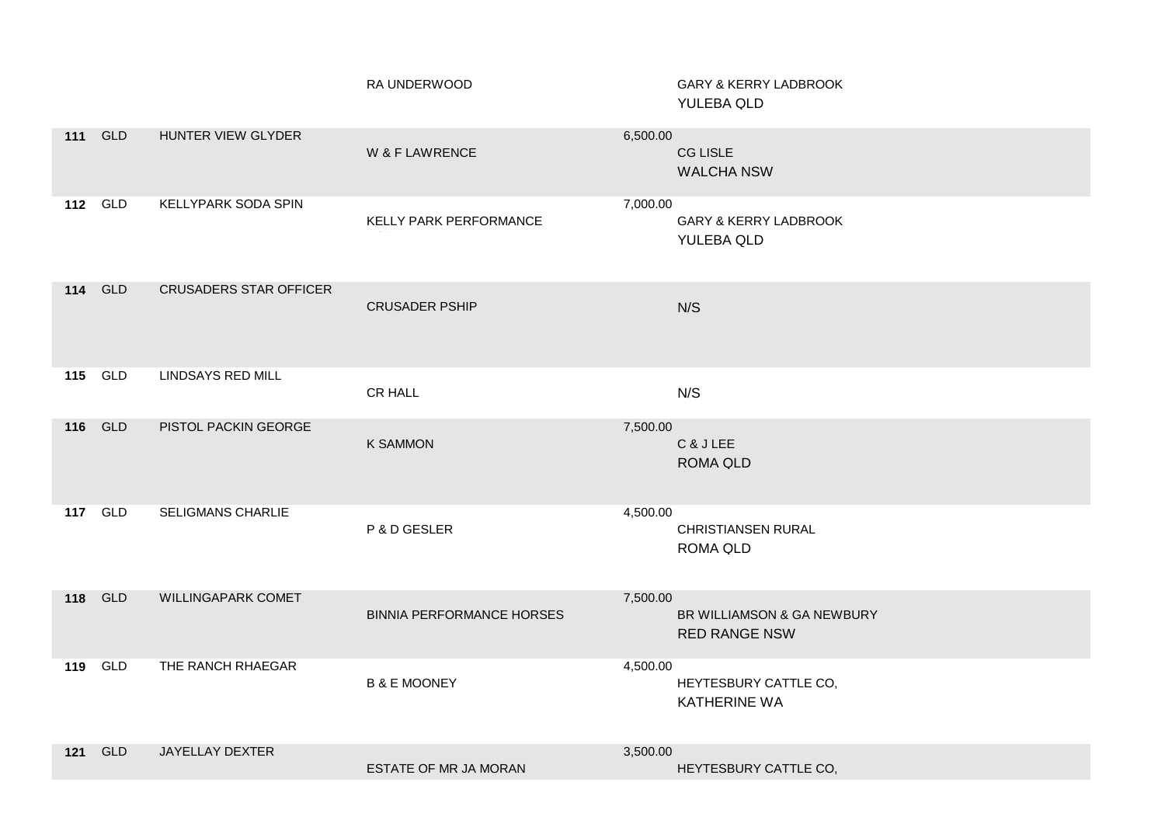|                |            |                               | RA UNDERWOOD                     | GARY & KERRY LADBROOK<br>YULEBA QLD                            |
|----------------|------------|-------------------------------|----------------------------------|----------------------------------------------------------------|
| <b>111 GLD</b> |            | HUNTER VIEW GLYDER            | W & F LAWRENCE                   | 6,500.00<br><b>CG LISLE</b><br><b>WALCHA NSW</b>               |
| <b>112</b> GLD |            | <b>KELLYPARK SODA SPIN</b>    | KELLY PARK PERFORMANCE           | 7,000.00<br><b>GARY &amp; KERRY LADBROOK</b><br>YULEBA QLD     |
| 114            | <b>GLD</b> | <b>CRUSADERS STAR OFFICER</b> | <b>CRUSADER PSHIP</b>            | N/S                                                            |
| <b>115 GLD</b> |            | <b>LINDSAYS RED MILL</b>      | CR HALL                          | N/S                                                            |
| 116 GLD        |            | PISTOL PACKIN GEORGE          | <b>K SAMMON</b>                  | 7,500.00<br>C & J LEE<br><b>ROMA QLD</b>                       |
| <b>117 GLD</b> |            | SELIGMANS CHARLIE             | P & D GESLER                     | 4,500.00<br><b>CHRISTIANSEN RURAL</b><br><b>ROMA QLD</b>       |
| 118 GLD        |            | WILLINGAPARK COMET            | <b>BINNIA PERFORMANCE HORSES</b> | 7,500.00<br>BR WILLIAMSON & GA NEWBURY<br><b>RED RANGE NSW</b> |
| 119            | GLD        | THE RANCH RHAEGAR             | <b>B &amp; E MOONEY</b>          | 4,500.00<br>HEYTESBURY CATTLE CO,<br><b>KATHERINE WA</b>       |
| $121$          | GLD        | JAYELLAY DEXTER               | ESTATE OF MR JA MORAN            | 3,500.00<br>HEYTESBURY CATTLE CO,                              |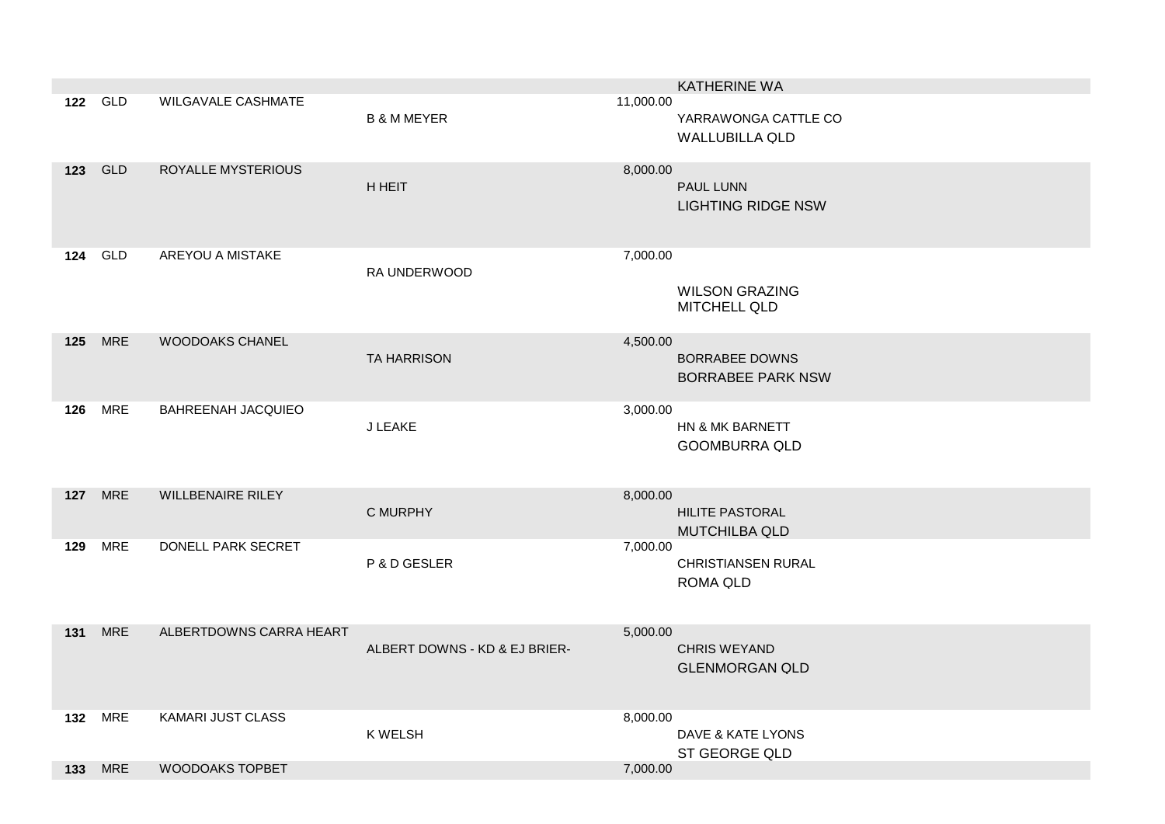|     |                |                           |                               |           | <b>KATHERINE WA</b>                           |
|-----|----------------|---------------------------|-------------------------------|-----------|-----------------------------------------------|
|     | 122 GLD        | <b>WILGAVALE CASHMATE</b> | <b>B &amp; M MEYER</b>        | 11,000.00 | YARRAWONGA CATTLE CO<br><b>WALLUBILLA QLD</b> |
| 123 | <b>GLD</b>     | ROYALLE MYSTERIOUS        | <b>H HEIT</b>                 | 8,000.00  | PAUL LUNN<br><b>LIGHTING RIDGE NSW</b>        |
| 124 | GLD            | AREYOU A MISTAKE          | RA UNDERWOOD                  | 7,000.00  | <b>WILSON GRAZING</b><br><b>MITCHELL QLD</b>  |
| 125 | <b>MRE</b>     | <b>WOODOAKS CHANEL</b>    | <b>TA HARRISON</b>            | 4,500.00  | BORRABEE DOWNS<br><b>BORRABEE PARK NSW</b>    |
|     | <b>126 MRE</b> | <b>BAHREENAH JACQUIEO</b> | J LEAKE                       | 3,000.00  | HN & MK BARNETT<br><b>GOOMBURRA QLD</b>       |
|     | <b>127</b> MRE | <b>WILLBENAIRE RILEY</b>  | C MURPHY                      | 8,000.00  | HILITE PASTORAL<br><b>MUTCHILBA QLD</b>       |
| 129 | <b>MRE</b>     | DONELL PARK SECRET        | P & D GESLER                  | 7,000.00  | <b>CHRISTIANSEN RURAL</b><br><b>ROMA QLD</b>  |
| 131 | <b>MRE</b>     | ALBERTDOWNS CARRA HEART   | ALBERT DOWNS - KD & EJ BRIER- | 5,000.00  | <b>CHRIS WEYAND</b><br><b>GLENMORGAN QLD</b>  |
|     | <b>132 MRE</b> | KAMARI JUST CLASS         | K WELSH                       | 8,000.00  | DAVE & KATE LYONS<br>ST GEORGE QLD            |
|     | <b>133 MRE</b> | <b>WOODOAKS TOPBET</b>    |                               | 7,000.00  |                                               |
|     |                |                           |                               |           |                                               |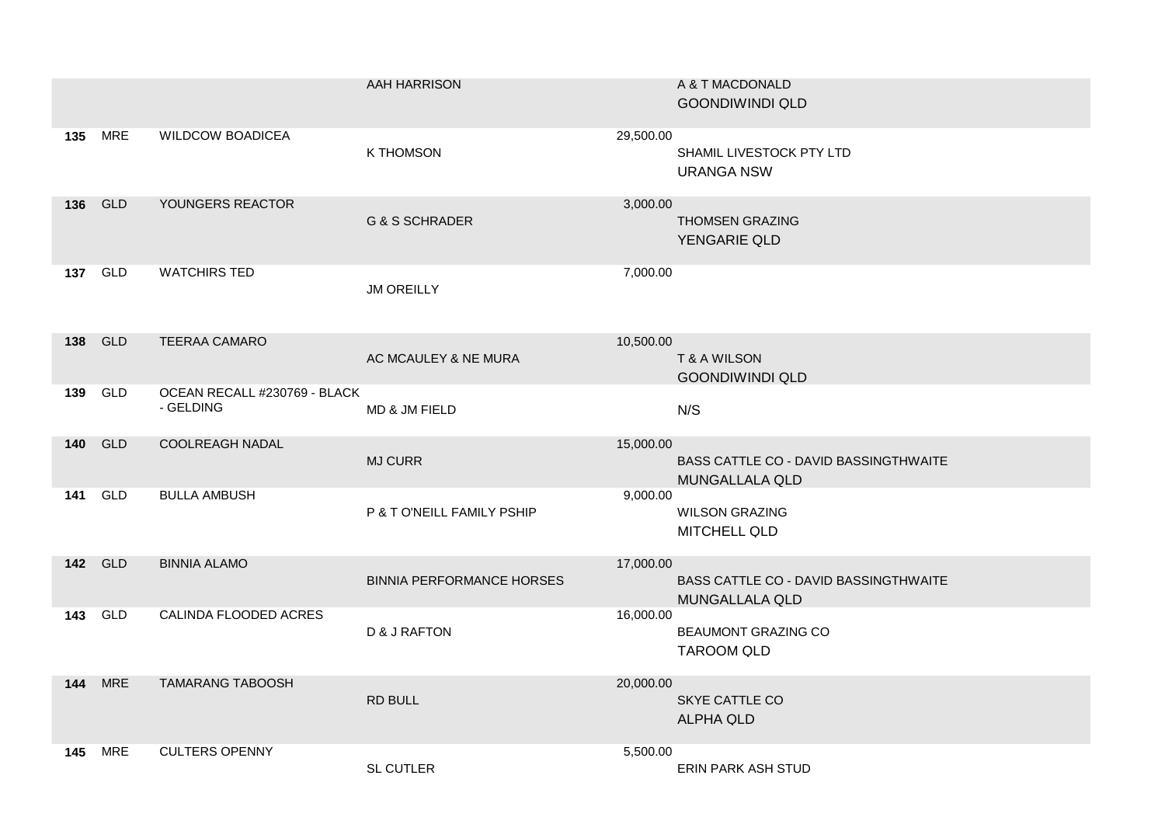|     |                |                                           | AAH HARRISON                     | A & T MACDONALD<br><b>GOONDIWINDI QLD</b>                                      |
|-----|----------------|-------------------------------------------|----------------------------------|--------------------------------------------------------------------------------|
|     | <b>135 MRE</b> | <b>WILDCOW BOADICEA</b>                   | K THOMSON                        | 29,500.00<br>SHAMIL LIVESTOCK PTY LTD<br><b>URANGA NSW</b>                     |
|     | 136 GLD        | YOUNGERS REACTOR                          | <b>G &amp; S SCHRADER</b>        | 3,000.00<br><b>THOMSEN GRAZING</b><br>YENGARIE QLD                             |
|     | <b>137 GLD</b> | <b>WATCHIRS TED</b>                       | <b>JM OREILLY</b>                | 7,000.00                                                                       |
|     | 138 GLD        | <b>TEERAA CAMARO</b>                      | AC MCAULEY & NE MURA             | 10,500.00<br>T & A WILSON<br><b>GOONDIWINDI QLD</b>                            |
|     | 139 GLD        | OCEAN RECALL #230769 - BLACK<br>- GELDING | MD & JM FIELD                    | N/S                                                                            |
|     | <b>140 GLD</b> | <b>COOLREAGH NADAL</b>                    | <b>MJ CURR</b>                   | 15,000.00<br>BASS CATTLE CO - DAVID BASSINGTHWAITE<br><b>MUNGALLALA QLD</b>    |
| 141 | GLD            | <b>BULLA AMBUSH</b>                       | P & T O'NEILL FAMILY PSHIP       | 9,000.00<br><b>WILSON GRAZING</b>                                              |
|     |                |                                           |                                  | <b>MITCHELL QLD</b>                                                            |
|     | <b>142 GLD</b> | <b>BINNIA ALAMO</b>                       | <b>BINNIA PERFORMANCE HORSES</b> | 17,000.00<br><b>BASS CATTLE CO - DAVID BASSINGTHWAITE</b>                      |
|     | 143 GLD        | CALINDA FLOODED ACRES                     | D & J RAFTON                     | <b>MUNGALLALA QLD</b><br>16,000.00<br>BEAUMONT GRAZING CO<br><b>TAROOM QLD</b> |
|     | <b>144 MRE</b> | <b>TAMARANG TABOOSH</b>                   | <b>RD BULL</b>                   | 20,000.00<br>SKYE CATTLE CO<br><b>ALPHA QLD</b>                                |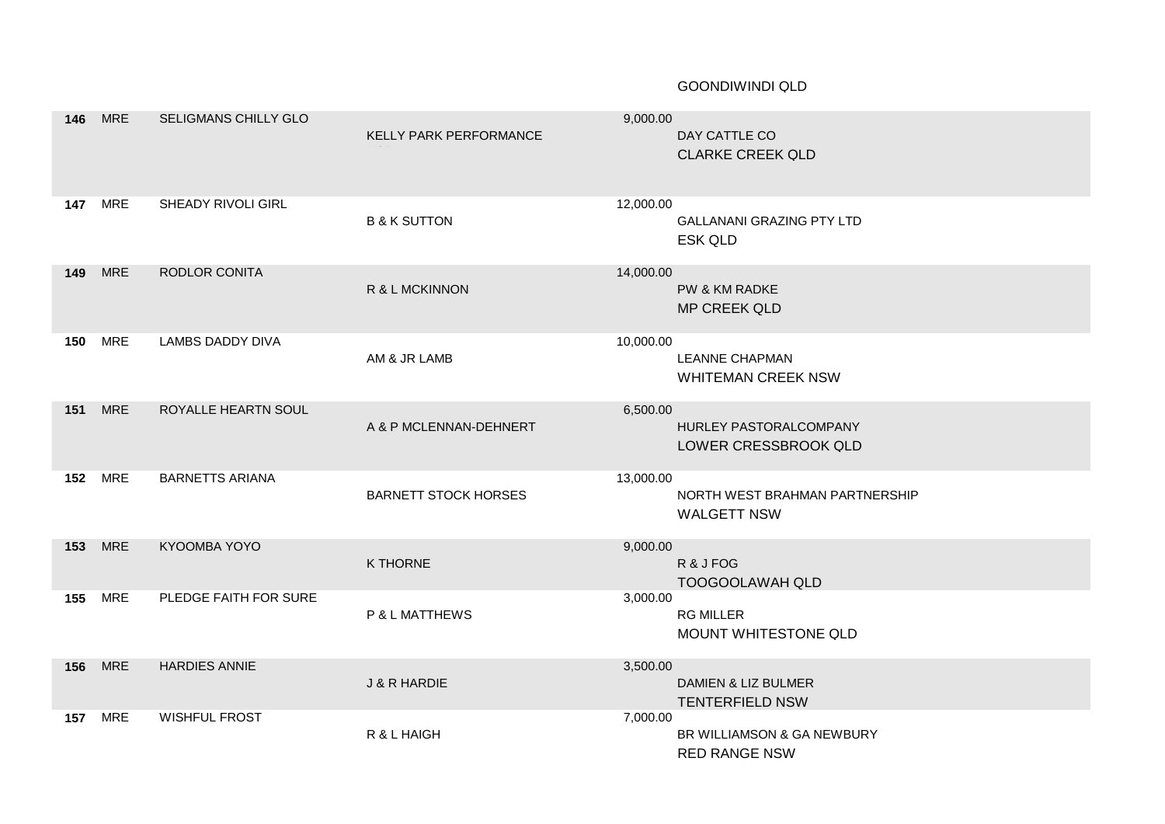## GOONDIWINDI QLD

| 146 | <b>MRE</b>     | SELIGMANS CHILLY GLO    | KELLY PARK PERFORMANCE      | 9,000.00  | DAY CATTLE CO<br><b>CLARKE CREEK QLD</b>             |
|-----|----------------|-------------------------|-----------------------------|-----------|------------------------------------------------------|
| 147 | <b>MRE</b>     | SHEADY RIVOLI GIRL      | <b>B &amp; K SUTTON</b>     | 12,000.00 | <b>GALLANANI GRAZING PTY LTD</b><br><b>ESK QLD</b>   |
| 149 | <b>MRE</b>     | RODLOR CONITA           | R & L MCKINNON              | 14,000.00 | PW & KM RADKE<br><b>MP CREEK QLD</b>                 |
| 150 | <b>MRE</b>     | <b>LAMBS DADDY DIVA</b> | AM & JR LAMB                | 10,000.00 | <b>LEANNE CHAPMAN</b><br><b>WHITEMAN CREEK NSW</b>   |
| 151 | <b>MRE</b>     | ROYALLE HEARTN SOUL     | A & P MCLENNAN-DEHNERT      | 6,500.00  | HURLEY PASTORALCOMPANY<br>LOWER CRESSBROOK QLD       |
| 152 | <b>MRE</b>     | <b>BARNETTS ARIANA</b>  | <b>BARNETT STOCK HORSES</b> | 13,000.00 | NORTH WEST BRAHMAN PARTNERSHIP<br><b>WALGETT NSW</b> |
|     | <b>153 MRE</b> | KYOOMBA YOYO            | K THORNE                    | 9,000.00  | R & J FOG<br><b>TOOGOOLAWAH QLD</b>                  |
| 155 | <b>MRE</b>     | PLEDGE FAITH FOR SURE   | P & L MATTHEWS              | 3,000.00  | <b>RG MILLER</b><br>MOUNT WHITESTONE QLD             |
| 156 | <b>MRE</b>     | <b>HARDIES ANNIE</b>    | <b>J &amp; R HARDIE</b>     | 3,500.00  | DAMIEN & LIZ BULMER<br><b>TENTERFIELD NSW</b>        |
| 157 | <b>MRE</b>     | <b>WISHFUL FROST</b>    | R & L HAIGH                 | 7,000.00  | BR WILLIAMSON & GA NEWBURY<br><b>RED RANGE NSW</b>   |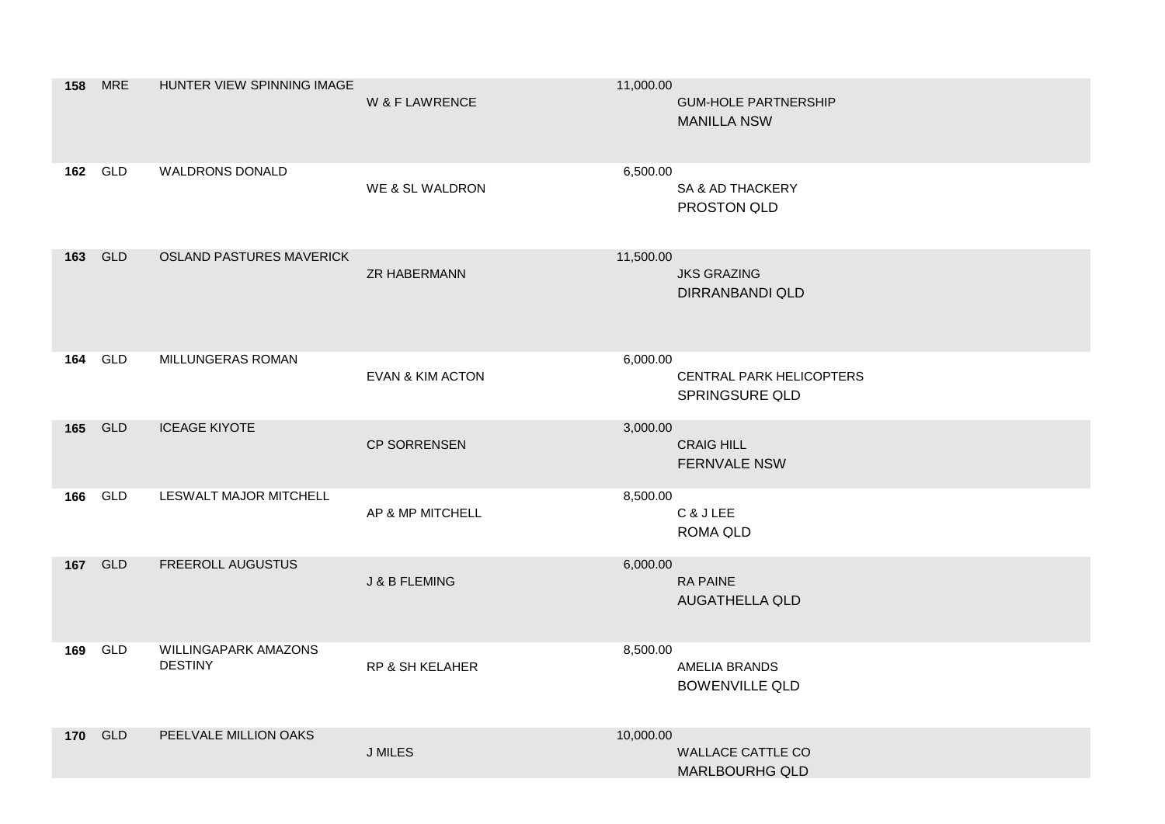| 158 | <b>MRE</b> | HUNTER VIEW SPINNING IMAGE                    | W & F LAWRENCE              | 11,000.00 | <b>GUM-HOLE PARTNERSHIP</b><br><b>MANILLA NSW</b> |
|-----|------------|-----------------------------------------------|-----------------------------|-----------|---------------------------------------------------|
|     | 162 GLD    | <b>WALDRONS DONALD</b>                        | WE & SL WALDRON             | 6,500.00  | SA & AD THACKERY<br>PROSTON QLD                   |
| 163 | <b>GLD</b> | <b>OSLAND PASTURES MAVERICK</b>               | <b>ZR HABERMANN</b>         | 11,500.00 | <b>JKS GRAZING</b><br><b>DIRRANBANDI QLD</b>      |
| 164 | <b>GLD</b> | <b>MILLUNGERAS ROMAN</b>                      | <b>EVAN &amp; KIM ACTON</b> | 6,000.00  | CENTRAL PARK HELICOPTERS<br>SPRINGSURE QLD        |
| 165 | GLD        | <b>ICEAGE KIYOTE</b>                          | <b>CP SORRENSEN</b>         | 3,000.00  | <b>CRAIG HILL</b><br><b>FERNVALE NSW</b>          |
| 166 | GLD        | LESWALT MAJOR MITCHELL                        | AP & MP MITCHELL            | 8,500.00  | C & J LEE<br>ROMA QLD                             |
| 167 | <b>GLD</b> | FREEROLL AUGUSTUS                             | <b>J &amp; B FLEMING</b>    | 6,000.00  | <b>RA PAINE</b><br><b>AUGATHELLA QLD</b>          |
| 169 | GLD        | <b>WILLINGAPARK AMAZONS</b><br><b>DESTINY</b> | RP & SH KELAHER             | 8,500.00  | <b>AMELIA BRANDS</b><br><b>BOWENVILLE QLD</b>     |
| 170 | GLD        | PEELVALE MILLION OAKS                         | <b>J MILES</b>              | 10,000.00 | <b>WALLACE CATTLE CO</b><br><b>MARLBOURHG QLD</b> |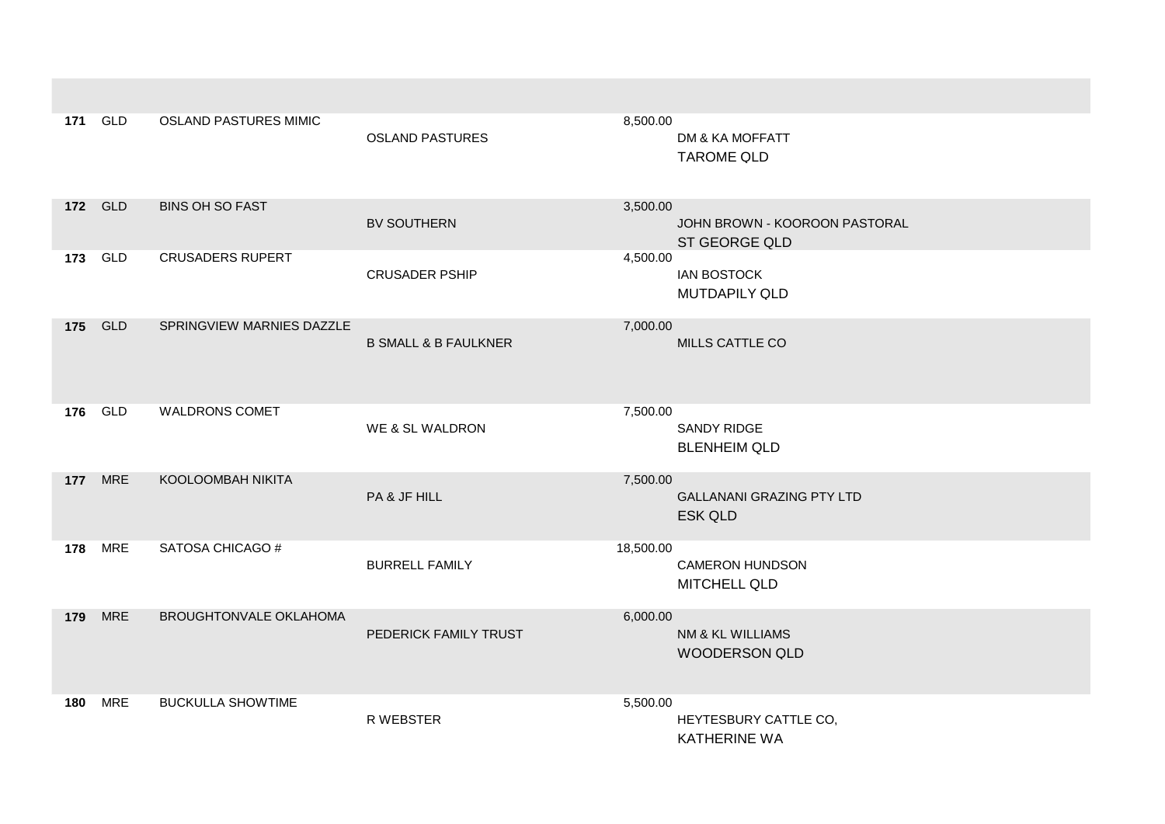| 171 | GLD        | <b>OSLAND PASTURES MIMIC</b> | <b>OSLAND PASTURES</b>          | 8,500.00<br>DM & KA MOFFATT<br><b>TAROME QLD</b>                  |
|-----|------------|------------------------------|---------------------------------|-------------------------------------------------------------------|
| 172 | GLD        | <b>BINS OH SO FAST</b>       | <b>BV SOUTHERN</b>              | 3,500.00<br>JOHN BROWN - KOOROON PASTORAL<br><b>ST GEORGE QLD</b> |
| 173 | GLD        | <b>CRUSADERS RUPERT</b>      | <b>CRUSADER PSHIP</b>           | 4,500.00<br><b>IAN BOSTOCK</b><br><b>MUTDAPILY QLD</b>            |
| 175 | <b>GLD</b> | SPRINGVIEW MARNIES DAZZLE    | <b>B SMALL &amp; B FAULKNER</b> | 7,000.00<br>MILLS CATTLE CO                                       |
| 176 | GLD        | <b>WALDRONS COMET</b>        | WE & SL WALDRON                 | 7,500.00<br><b>SANDY RIDGE</b><br><b>BLENHEIM QLD</b>             |
| 177 | <b>MRE</b> | KOOLOOMBAH NIKITA            | PA & JF HILL                    | 7,500.00<br><b>GALLANANI GRAZING PTY LTD</b><br><b>ESK QLD</b>    |
| 178 | <b>MRE</b> | SATOSA CHICAGO #             | <b>BURRELL FAMILY</b>           | 18,500.00<br><b>CAMERON HUNDSON</b><br><b>MITCHELL QLD</b>        |
| 179 | <b>MRE</b> | BROUGHTONVALE OKLAHOMA       | PEDERICK FAMILY TRUST           | 6,000.00<br>NM & KL WILLIAMS<br><b>WOODERSON QLD</b>              |
| 180 | <b>MRE</b> | <b>BUCKULLA SHOWTIME</b>     | R WEBSTER                       | 5,500.00<br>HEYTESBURY CATTLE CO,<br><b>KATHERINE WA</b>          |

**Contract Contract Contract**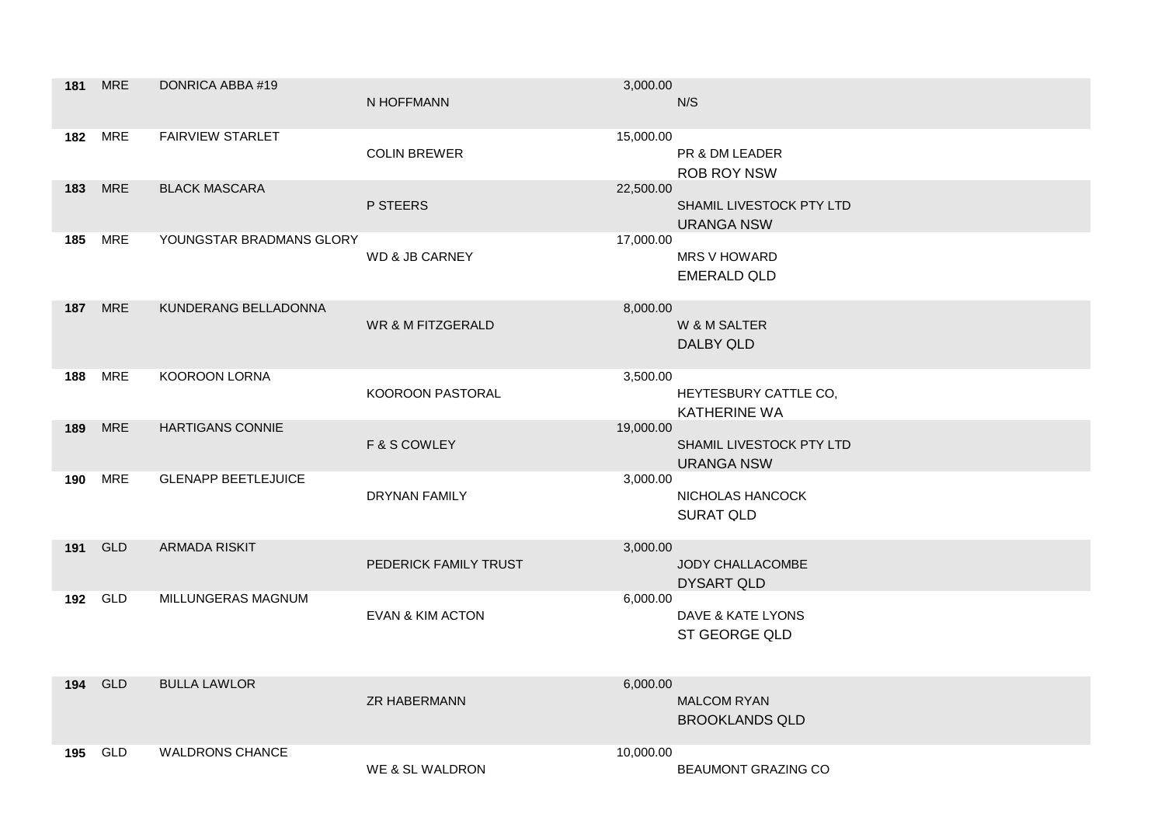| 181 | <b>MRE</b>     | DONRICA ABBA #19           | N HOFFMANN                   | 3,000.00  | N/S                                           |
|-----|----------------|----------------------------|------------------------------|-----------|-----------------------------------------------|
|     | <b>182 MRE</b> | <b>FAIRVIEW STARLET</b>    | <b>COLIN BREWER</b>          | 15,000.00 | PR & DM LEADER<br><b>ROB ROY NSW</b>          |
| 183 | <b>MRE</b>     | <b>BLACK MASCARA</b>       | P STEERS                     | 22,500.00 | SHAMIL LIVESTOCK PTY LTD<br><b>URANGA NSW</b> |
| 185 | <b>MRE</b>     | YOUNGSTAR BRADMANS GLORY   | <b>WD &amp; JB CARNEY</b>    | 17,000.00 | <b>MRS V HOWARD</b><br><b>EMERALD QLD</b>     |
| 187 | <b>MRE</b>     | KUNDERANG BELLADONNA       | <b>WR &amp; M FITZGERALD</b> | 8,000.00  | W & M SALTER<br><b>DALBY QLD</b>              |
| 188 | <b>MRE</b>     | KOOROON LORNA              | KOOROON PASTORAL             | 3,500.00  | HEYTESBURY CATTLE CO,<br><b>KATHERINE WA</b>  |
| 189 | <b>MRE</b>     | <b>HARTIGANS CONNIE</b>    | F & S COWLEY                 | 19,000.00 | SHAMIL LIVESTOCK PTY LTD<br><b>URANGA NSW</b> |
| 190 | MRE            | <b>GLENAPP BEETLEJUICE</b> | <b>DRYNAN FAMILY</b>         | 3,000.00  | NICHOLAS HANCOCK<br><b>SURAT QLD</b>          |
| 191 | <b>GLD</b>     | <b>ARMADA RISKIT</b>       | PEDERICK FAMILY TRUST        | 3,000.00  | JODY CHALLACOMBE<br><b>DYSART QLD</b>         |
| 192 | <b>GLD</b>     | MILLUNGERAS MAGNUM         | <b>EVAN &amp; KIM ACTON</b>  | 6,000.00  | DAVE & KATE LYONS<br><b>ST GEORGE QLD</b>     |
| 194 | <b>GLD</b>     | <b>BULLA LAWLOR</b>        | <b>ZR HABERMANN</b>          | 6,000.00  | <b>MALCOM RYAN</b><br><b>BROOKLANDS QLD</b>   |
| 195 | <b>GLD</b>     | <b>WALDRONS CHANCE</b>     | WE & SL WALDRON              | 10,000.00 | <b>BEAUMONT GRAZING CO</b>                    |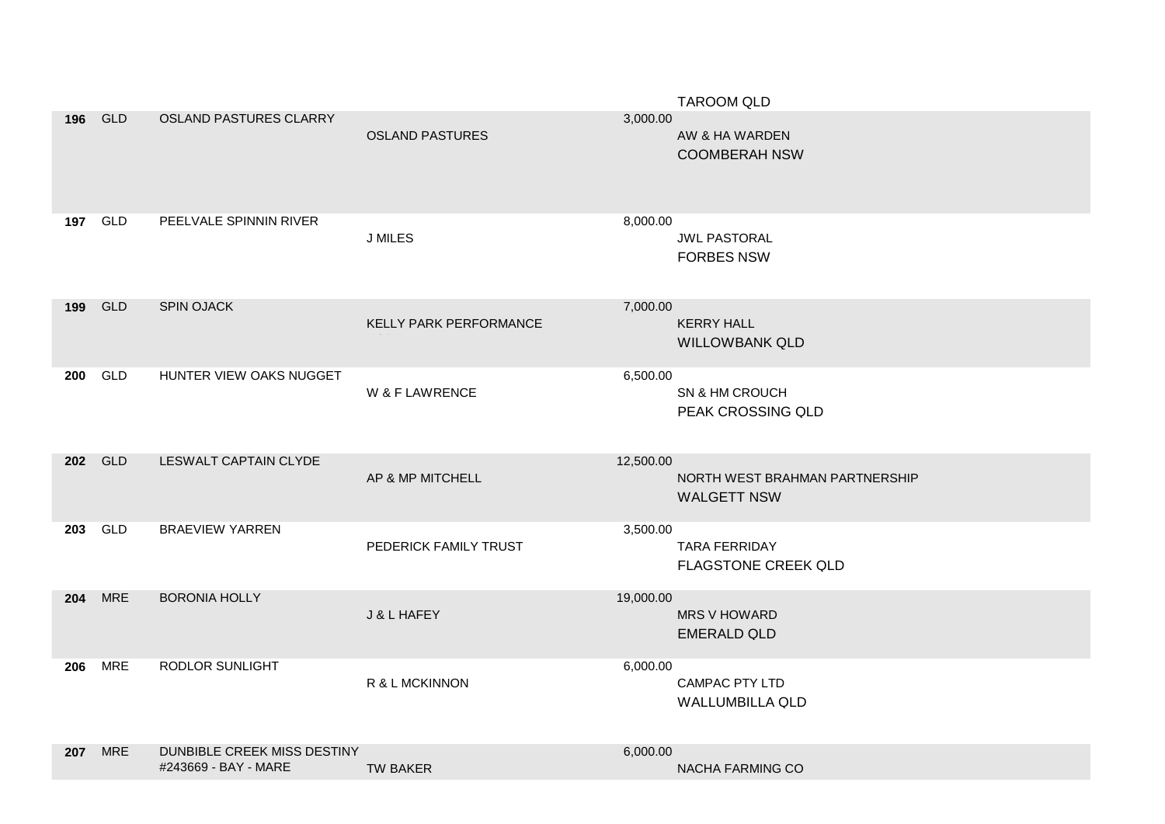|     |            |                                                     |                        |           | <b>TAROOM QLD</b>                                    |
|-----|------------|-----------------------------------------------------|------------------------|-----------|------------------------------------------------------|
| 196 | <b>GLD</b> | <b>OSLAND PASTURES CLARRY</b>                       | <b>OSLAND PASTURES</b> | 3,000.00  | AW & HA WARDEN<br><b>COOMBERAH NSW</b>               |
| 197 | <b>GLD</b> | PEELVALE SPINNIN RIVER                              | <b>J MILES</b>         | 8,000.00  | <b>JWL PASTORAL</b><br><b>FORBES NSW</b>             |
| 199 | <b>GLD</b> | <b>SPIN OJACK</b>                                   | KELLY PARK PERFORMANCE | 7,000.00  | <b>KERRY HALL</b><br><b>WILLOWBANK QLD</b>           |
| 200 | GLD        | HUNTER VIEW OAKS NUGGET                             | W & F LAWRENCE         | 6,500.00  | SN & HM CROUCH<br>PEAK CROSSING QLD                  |
| 202 | <b>GLD</b> | LESWALT CAPTAIN CLYDE                               | AP & MP MITCHELL       | 12,500.00 | NORTH WEST BRAHMAN PARTNERSHIP<br><b>WALGETT NSW</b> |
| 203 | GLD        | <b>BRAEVIEW YARREN</b>                              | PEDERICK FAMILY TRUST  | 3,500.00  | <b>TARA FERRIDAY</b><br>FLAGSTONE CREEK QLD          |
| 204 | <b>MRE</b> | <b>BORONIA HOLLY</b>                                | J & L HAFEY            | 19,000.00 | <b>MRS V HOWARD</b><br><b>EMERALD QLD</b>            |
| 206 | <b>MRE</b> | RODLOR SUNLIGHT                                     | R & L MCKINNON         | 6,000.00  | <b>CAMPAC PTY LTD</b><br>WALLUMBILLA QLD             |
| 207 | <b>MRE</b> | DUNBIBLE CREEK MISS DESTINY<br>#243669 - BAY - MARE | TW BAKER               | 6,000.00  | NACHA FARMING CO                                     |
|     |            |                                                     |                        |           |                                                      |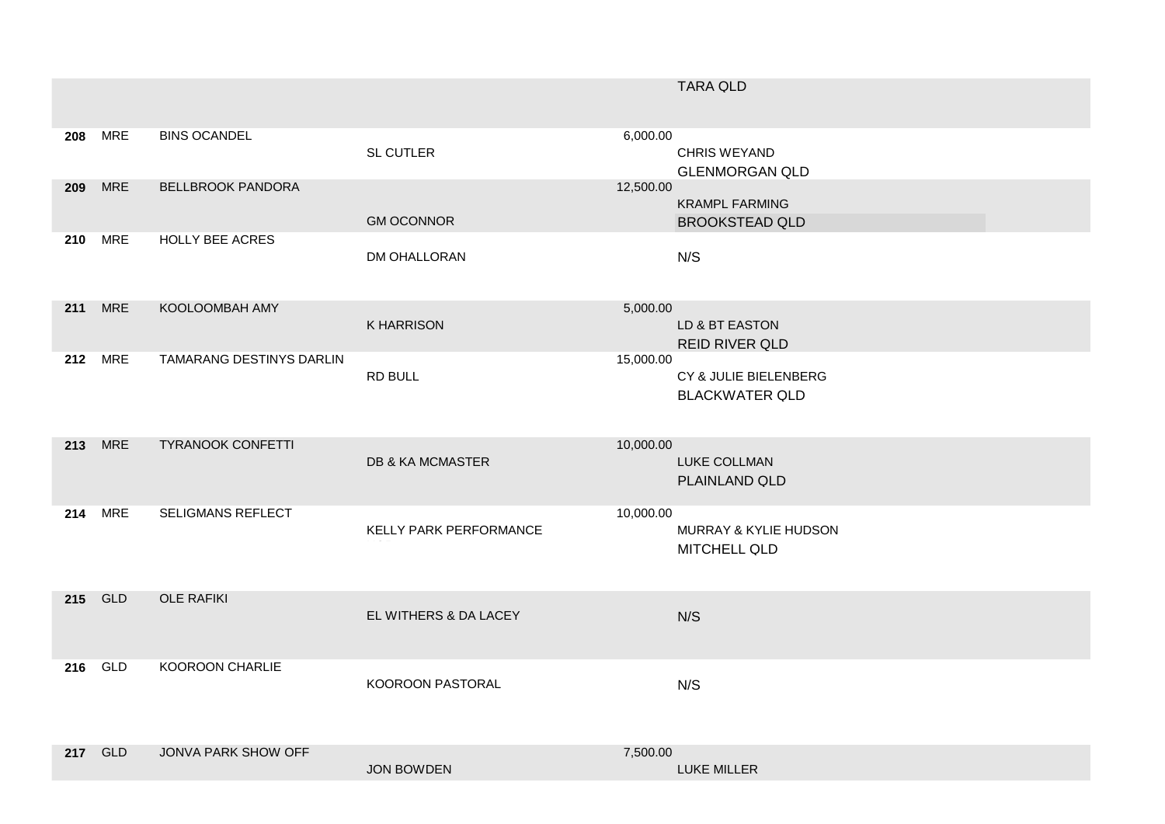|         |            |                          |                             |           | <b>TARA QLD</b>                                         |
|---------|------------|--------------------------|-----------------------------|-----------|---------------------------------------------------------|
| 208     | <b>MRE</b> | <b>BINS OCANDEL</b>      | <b>SL CUTLER</b>            | 6,000.00  | <b>CHRIS WEYAND</b><br><b>GLENMORGAN QLD</b>            |
| 209     | <b>MRE</b> | <b>BELLBROOK PANDORA</b> | <b>GM OCONNOR</b>           | 12,500.00 | <b>KRAMPL FARMING</b><br><b>BROOKSTEAD QLD</b>          |
| 210     | <b>MRE</b> | HOLLY BEE ACRES          | DM OHALLORAN                |           | N/S                                                     |
| 211     | <b>MRE</b> | KOOLOOMBAH AMY           | <b>K HARRISON</b>           | 5,000.00  | LD & BT EASTON<br><b>REID RIVER QLD</b>                 |
| 212     | <b>MRE</b> | TAMARANG DESTINYS DARLIN | RD BULL                     | 15,000.00 | CY & JULIE BIELENBERG<br><b>BLACKWATER QLD</b>          |
| 213 MRE |            | <b>TYRANOOK CONFETTI</b> | <b>DB &amp; KA MCMASTER</b> | 10,000.00 | LUKE COLLMAN<br>PLAINLAND QLD                           |
| 214     | <b>MRE</b> | SELIGMANS REFLECT        | KELLY PARK PERFORMANCE      | 10,000.00 | <b>MURRAY &amp; KYLIE HUDSON</b><br><b>MITCHELL QLD</b> |
| 215 GLD |            | <b>OLE RAFIKI</b>        | EL WITHERS & DA LACEY       |           | N/S                                                     |
| 216     | GLD        | KOOROON CHARLIE          | KOOROON PASTORAL            |           | N/S                                                     |
| 217 GLD |            | JONVA PARK SHOW OFF      | <b>JON BOWDEN</b>           | 7,500.00  | LUKE MILLER                                             |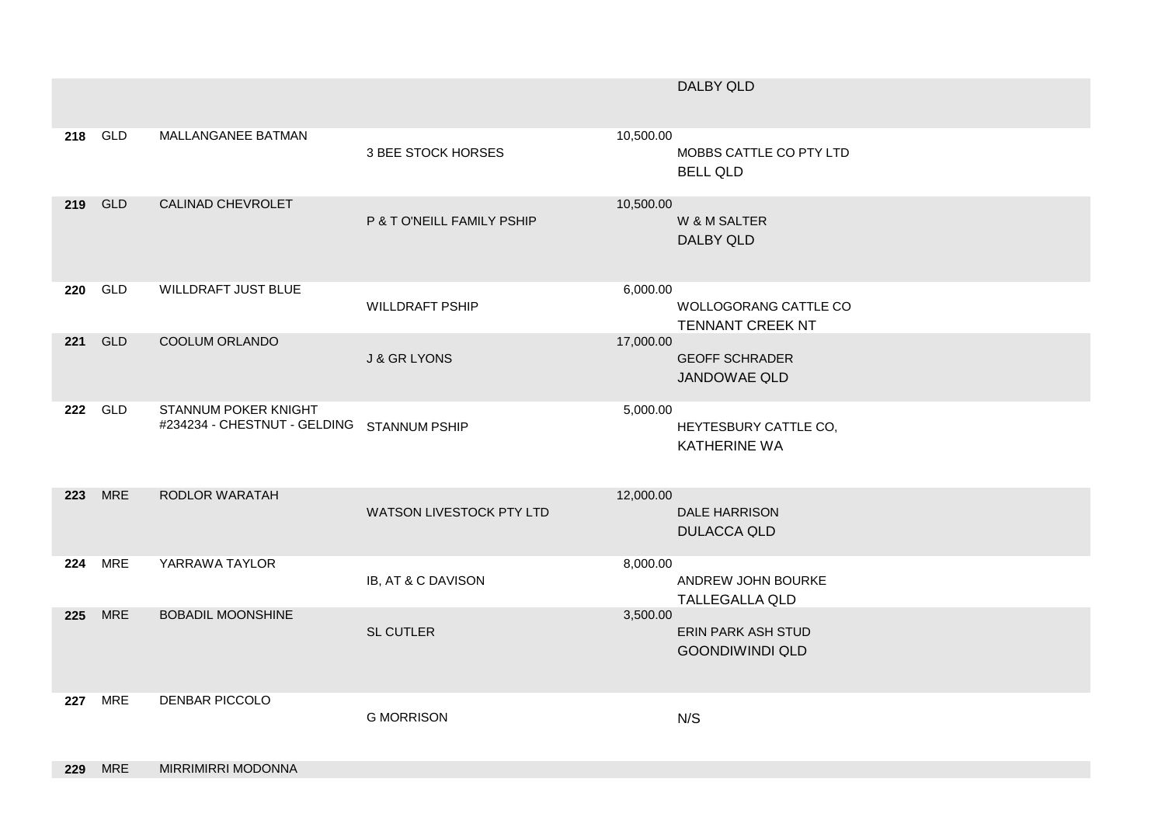|     |                |                                                                    |                            |           | DALBY QLD                                        |
|-----|----------------|--------------------------------------------------------------------|----------------------------|-----------|--------------------------------------------------|
|     | 218 GLD        | MALLANGANEE BATMAN                                                 | 3 BEE STOCK HORSES         | 10,500.00 | MOBBS CATTLE CO PTY LTD<br><b>BELL QLD</b>       |
| 219 | <b>GLD</b>     | CALINAD CHEVROLET                                                  | P & T O'NEILL FAMILY PSHIP | 10,500.00 | W & M SALTER<br><b>DALBY QLD</b>                 |
| 220 | GLD            | WILLDRAFT JUST BLUE                                                | <b>WILLDRAFT PSHIP</b>     | 6,000.00  | WOLLOGORANG CATTLE CO<br><b>TENNANT CREEK NT</b> |
|     | 221 GLD        | COOLUM ORLANDO                                                     | <b>J &amp; GR LYONS</b>    | 17,000.00 | <b>GEOFF SCHRADER</b><br>JANDOWAE QLD            |
|     | 222 GLD        | STANNUM POKER KNIGHT<br>#234234 - CHESTNUT - GELDING STANNUM PSHIP |                            | 5,000.00  | HEYTESBURY CATTLE CO,<br><b>KATHERINE WA</b>     |
| 223 | <b>MRE</b>     | RODLOR WARATAH                                                     | WATSON LIVESTOCK PTY LTD   | 12,000.00 | <b>DALE HARRISON</b><br><b>DULACCA QLD</b>       |
| 224 | <b>MRE</b>     | YARRAWA TAYLOR                                                     | IB, AT & C DAVISON         | 8,000.00  | ANDREW JOHN BOURKE<br><b>TALLEGALLA QLD</b>      |
| 225 | <b>MRE</b>     | <b>BOBADIL MOONSHINE</b>                                           | <b>SL CUTLER</b>           | 3,500.00  | ERIN PARK ASH STUD<br><b>GOONDIWINDI QLD</b>     |
|     | <b>227 MRE</b> | DENBAR PICCOLO                                                     | <b>G MORRISON</b>          |           | N/S                                              |

**229** MRE MIRRIMIRRI MODONNA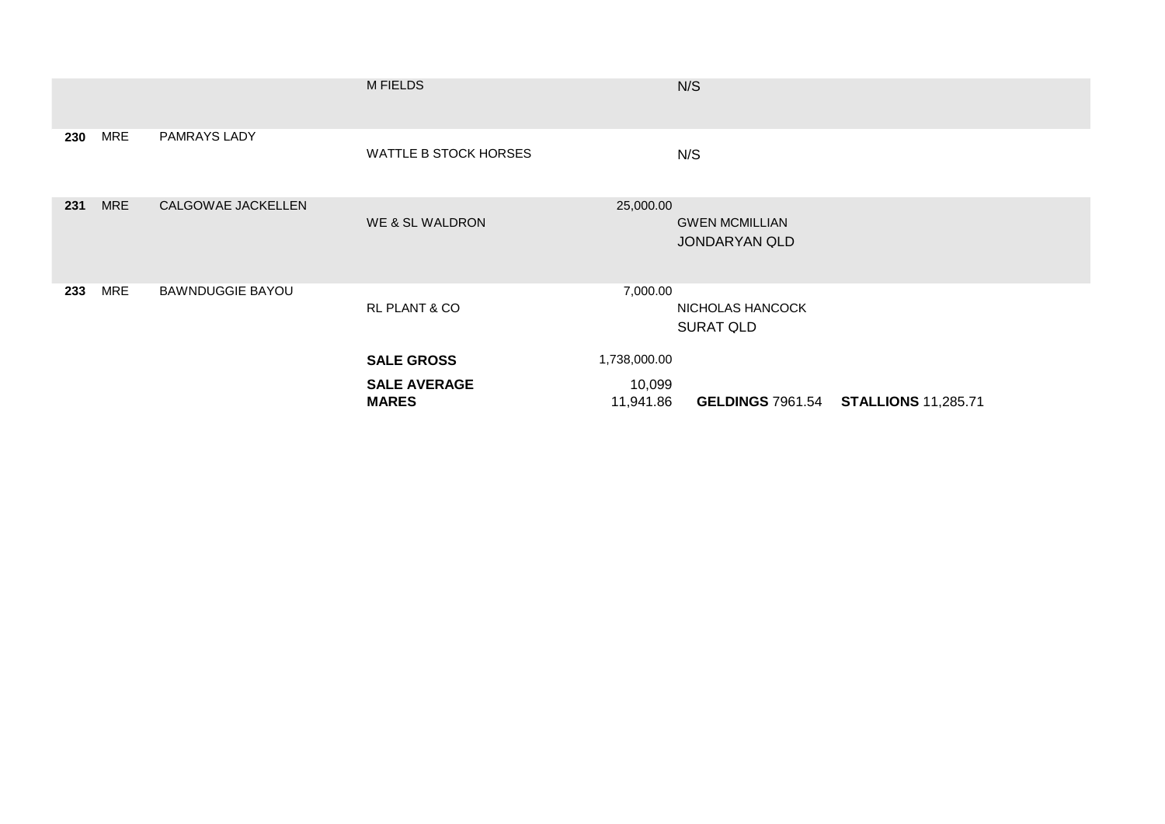|     |            |                         | <b>M FIELDS</b>                     |                     | N/S                                           |                                             |
|-----|------------|-------------------------|-------------------------------------|---------------------|-----------------------------------------------|---------------------------------------------|
| 230 | <b>MRE</b> | PAMRAYS LADY            | WATTLE B STOCK HORSES               |                     | N/S                                           |                                             |
| 231 | <b>MRE</b> | CALGOWAE JACKELLEN      | WE & SL WALDRON                     | 25,000.00           | <b>GWEN MCMILLIAN</b><br><b>JONDARYAN QLD</b> |                                             |
| 233 | <b>MRE</b> | <b>BAWNDUGGIE BAYOU</b> | RL PLANT & CO                       | 7,000.00            | NICHOLAS HANCOCK<br><b>SURAT QLD</b>          |                                             |
|     |            |                         | <b>SALE GROSS</b>                   | 1,738,000.00        |                                               |                                             |
|     |            |                         | <b>SALE AVERAGE</b><br><b>MARES</b> | 10,099<br>11,941.86 |                                               | <b>GELDINGS 7961.54 STALLIONS 11,285.71</b> |